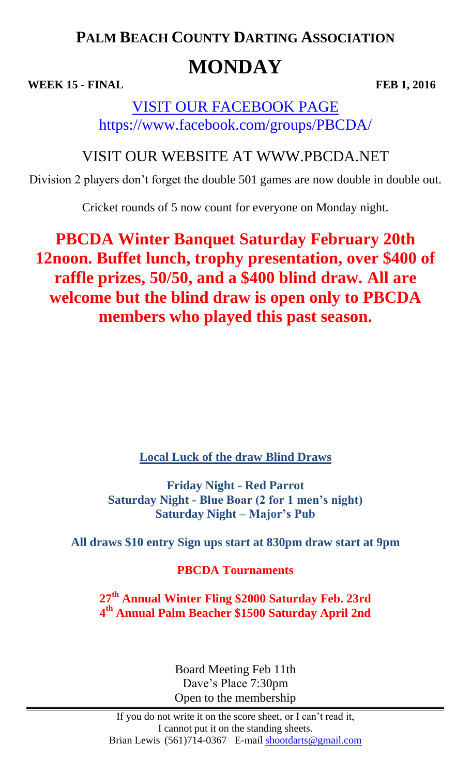# **PALM BEACH COUNTY DARTING ASSOCIATION MONDAY**

**WEEK 15 - FINAL FEB 1, 2016** 

## VISIT OUR FACEBOOK PAGE https://www.facebook.com/groups/PBCDA/

## VISIT OUR WEBSITE AT WWW.PBCDA.NET

Division 2 players don't forget the double 501 games are now double in double out.

Cricket rounds of 5 now count for everyone on Monday night.

**PBCDA Winter Banquet Saturday February 20th 12noon. Buffet lunch, trophy presentation, over \$400 of raffle prizes, 50/50, and a \$400 blind draw. All are welcome but the blind draw is open only to PBCDA members who played this past season.**

**Local Luck of the draw Blind Draws**

**Friday Night - Red Parrot Saturday Night - Blue Boar (2 for 1 men's night) Saturday Night – Major's Pub**

**All draws \$10 entry Sign ups start at 830pm draw start at 9pm** 

**PBCDA Tournaments**

**27th Annual Winter Fling \$2000 Saturday Feb. 23rd 4 th Annual Palm Beacher \$1500 Saturday April 2nd**

> Board Meeting Feb 11th Dave's Place 7:30pm Open to the membership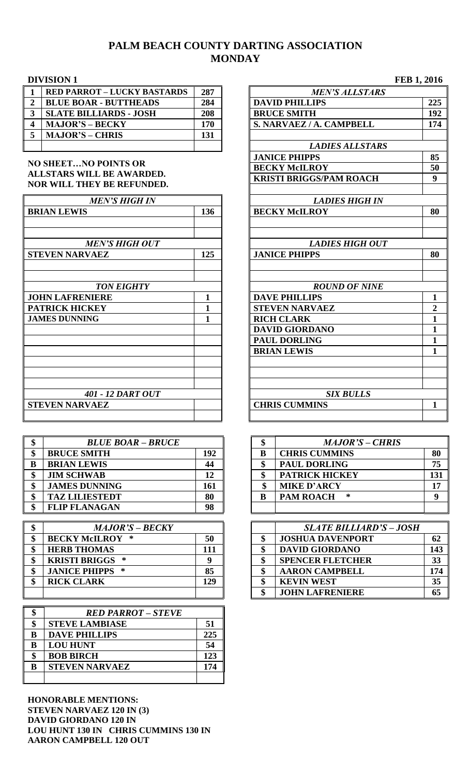## **PALM BEACH COUNTY DARTING ASSOCIATION MONDAY**

| <b>RED PARROT - LUCKY BASTARDS</b> | 287 | <b>MEN'S ALLSTARS</b>    |
|------------------------------------|-----|--------------------------|
| <b>BLUE BOAR - BUTTHEADS</b>       | 284 | <b>DAVID PHILLIPS</b>    |
| <b>SLATE BILLIARDS - JOSH</b>      | 208 | <b>BRUCE SMITH</b>       |
| <b>MAJOR'S – BECKY</b>             | 170 | S. NARVAEZ / A. CAMPBELL |
| <b>MAJOR'S – CHRIS</b>             | 131 |                          |
|                                    |     | I ADIEC AII CTADO        |

### **NO SHEET…NO POINTS OR ALLSTARS WILL BE AWARDED. NOR WILL THEY BE REFUNDED.**

| <b>MEN'S HIGH IN</b>                           |     | <b>LADIES HIGH IN</b>                          |                |
|------------------------------------------------|-----|------------------------------------------------|----------------|
| <b>BRIAN LEWIS</b>                             | 136 | <b>BECKY McILROY</b>                           | 80             |
| <b>MEN'S HIGH OUT</b><br><b>STEVEN NARVAEZ</b> | 125 | <b>LADIES HIGH OUT</b><br><b>JANICE PHIPPS</b> | 80             |
|                                                |     |                                                |                |
| <b>TON EIGHTY</b>                              |     | <b>ROUND OF NINE</b>                           |                |
| <b>JOHN LAFRENIERE</b>                         |     | <b>DAVE PHILLIPS</b>                           | $\mathbf{1}$   |
| <b>PATRICK HICKEY</b>                          |     | <b>STEVEN NARVAEZ</b>                          | $\overline{2}$ |
| <b>JAMES DUNNING</b>                           | 1   | <b>RICH CLARK</b>                              | 1              |
|                                                |     | <b>DAVID GIORDANO</b>                          | 1              |
|                                                |     | <b>PAUL DORLING</b>                            | $\mathbf{1}$   |
|                                                |     | <b>BRIAN LEWIS</b>                             | $\mathbf{1}$   |
|                                                |     |                                                |                |
| 401 - 12 DART OUT                              |     | <b>SIX BULLS</b>                               |                |
| <b>STEVEN NARVAEZ</b>                          |     | <b>CHRIS CUMMINS</b>                           | $\mathbf{1}$   |
|                                                |     |                                                |                |

| <b>BLUE BOAR - BRUCE</b> |     |   | <b>MAJOR'S - CHRIS</b> |    |
|--------------------------|-----|---|------------------------|----|
| <b>BRUCE SMITH</b>       | 192 |   | <b>CHRIS CUMMINS</b>   | 80 |
| <b>BRIAN LEWIS</b>       | 44  | ሐ | <b>PAUL DORLING</b>    | 75 |
| <b>JIM SCHWAB</b>        | 12  | ሐ | <b>PATRICK HICKEY</b>  | 13 |
| <b>JAMES DUNNING</b>     | 161 |   | <b>MIKE D'ARCY</b>     | 1′ |
| <b>TAZ LILIESTEDT</b>    | 80  |   | <b>PAM ROACH</b><br>∗  |    |
| <b>FLIP FLANAGAN</b>     | 98  |   |                        |    |

| <b>MAJOR'S – BECKY</b>       |     | <b>SLATE BILLIARD'S - JOSH</b> |     |
|------------------------------|-----|--------------------------------|-----|
| 50<br><b>BECKY McILROY *</b> |     | <b>JOSHUA DAVENPORT</b>        | 62  |
| <b>HERB THOMAS</b>           |     | <b>DAVID GIORDANO</b>          | 143 |
| <b>KRISTI BRIGGS *</b>       |     | <b>SPENCER FLETCHER</b>        | 33  |
| <b>JANICE PHIPPS *</b>       |     | <b>AARON CAMPBELL</b>          | 174 |
| <b>RICK CLARK</b>            | 129 | <b>KEVIN WEST</b>              | 35  |
|                              |     | <b>JOHN LAFRENIERE</b>         | 65  |

|    | <b>RED PARROT – STEVE</b> |     |
|----|---------------------------|-----|
| \$ | <b>STEVE LAMBIASE</b>     | 51  |
| B  | <b>DAVE PHILLIPS</b>      | 225 |
| B  | <b>LOU HUNT</b>           | 54  |
| \$ | <b>BOB BIRCH</b>          | 123 |
| B  | <b>STEVEN NARVAEZ</b>     | 174 |
|    |                           |     |

**HONORABLE MENTIONS: STEVEN NARVAEZ 120 IN (3) DAVID GIORDANO 120 IN LOU HUNT 130 IN CHRIS CUMMINS 130 IN AARON CAMPBELL 120 OUT**

|                         | <b>DIVISION 1</b>                                       |     |                                | FEB 1, 2016  |
|-------------------------|---------------------------------------------------------|-----|--------------------------------|--------------|
| $\mathbf{1}$            | <b>RED PARROT - LUCKY BASTARDS</b>                      | 287 | <b>MEN'S ALLSTARS</b>          |              |
| $\overline{2}$          | <b>BLUE BOAR - BUTTHEADS</b>                            | 284 | <b>DAVID PHILLIPS</b>          | 225          |
| $\overline{\mathbf{3}}$ | <b>SLATE BILLIARDS - JOSH</b>                           | 208 | <b>BRUCE SMITH</b>             | 192          |
| $\overline{\mathbf{4}}$ | <b>MAJOR'S - BECKY</b>                                  | 170 | S. NARVAEZ / A. CAMPBELL       | 174          |
| 5                       | <b>MAJOR'S - CHRIS</b>                                  | 131 |                                |              |
|                         |                                                         |     | <b>LADIES ALLSTARS</b>         |              |
|                         |                                                         |     | <b>JANICE PHIPPS</b>           | 85           |
|                         | <b>NO SHEETNO POINTS OR</b>                             |     | <b>BECKY McILROY</b>           | 50           |
|                         | ALLSTARS WILL BE AWARDED.<br>NOR WILL THEY BE REFUNDED. |     | <b>KRISTI BRIGGS/PAM ROACH</b> | 9            |
|                         | <b>MEN'S HIGH IN</b>                                    |     | <b>LADIES HIGH IN</b>          |              |
|                         | <b>BRIAN LEWIS</b>                                      | 136 | <b>BECKY McILROY</b>           | 80           |
|                         |                                                         |     |                                |              |
|                         | <b>MEN'S HIGH OUT</b>                                   |     | <b>LADIES HIGH OUT</b>         |              |
|                         | <b>STEVEN NARVAEZ</b>                                   | 125 | <b>JANICE PHIPPS</b>           | 80           |
|                         |                                                         |     |                                |              |
|                         | <b>TON EIGHTY</b>                                       |     | <b>ROUND OF NINE</b>           |              |
|                         | <b>JOHN LAFRENIERE</b>                                  | 1   | <b>DAVE PHILLIPS</b>           | 1            |
|                         | <b>PATRICK HICKEY</b>                                   | 1   | <b>STEVEN NARVAEZ</b>          | $\mathbf{2}$ |
|                         | <b>JAMES DUNNING</b>                                    | 1   | <b>RICH CLARK</b>              | $\mathbf{1}$ |
|                         |                                                         |     | <b>DAVID GIORDANO</b>          | 1            |
|                         |                                                         |     | <b>PAUL DORLING</b>            | $\mathbf{1}$ |
|                         |                                                         |     | <b>BRIAN LEWIS</b>             | $\mathbf{1}$ |
|                         |                                                         |     |                                |              |
|                         |                                                         |     |                                |              |
|                         | <b>401 - 12 DART OUT</b>                                |     | <b>SIX BULLS</b>               |              |
|                         | <b>STEVEN NARVAEZ</b>                                   |     | <b>CHRIS CUMMINS</b>           | 1            |
|                         |                                                         |     |                                |              |

| \$ | <b>BLUE BOAR - BRUCE</b> |     |  | <b>MAJOR'S - CHRIS</b> |     |
|----|--------------------------|-----|--|------------------------|-----|
| \$ | <b>BRUCE SMITH</b>       | 192 |  | <b>CHRIS CUMMINS</b>   | 80  |
| B  | <b>BRIAN LEWIS</b>       | 44  |  | <b>PAUL DORLING</b>    | 75  |
| \$ | <b>JIM SCHWAB</b>        | 12  |  | <b>PATRICK HICKEY</b>  | 131 |
| \$ | <b>JAMES DUNNING</b>     | 161 |  | <b>MIKE D'ARCY</b>     | 17  |
| \$ | <b>TAZ LILIESTEDT</b>    | 80  |  | <b>PAM ROACH</b><br>∗  | ո   |
| \$ | <b>FLIP FLANAGAN</b>     | 98  |  |                        |     |

| <b>SLATE BILLIARD'S - JOSH</b> |     |
|--------------------------------|-----|
| \$<br><b>JOSHUA DAVENPORT</b>  | 62  |
| \$<br><b>DAVID GIORDANO</b>    | 143 |
| \$<br><b>SPENCER FLETCHER</b>  | 33  |
| \$<br><b>AARON CAMPBELL</b>    | 174 |
| \$<br><b>KEVIN WEST</b>        | 35  |
| \$<br><b>JOHN LAFRENIERE</b>   | 65  |